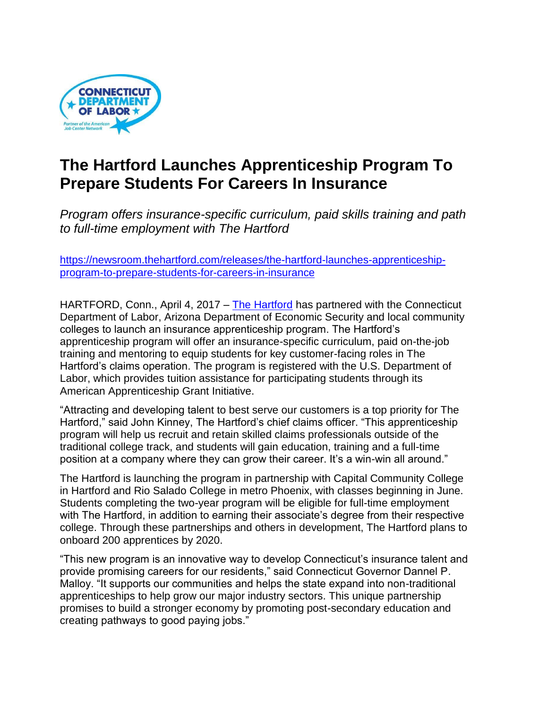

## **The Hartford Launches Apprenticeship Program To Prepare Students For Careers In Insurance**

*Program offers insurance-specific curriculum, paid skills training and path to full-time employment with The Hartford*

[https://newsroom.thehartford.com/releases/the-hartford-launches-apprenticeship](https://newsroom.thehartford.com/releases/the-hartford-launches-apprenticeship-program-to-prepare-students-for-careers-in-insurance)[program-to-prepare-students-for-careers-in-insurance](https://newsroom.thehartford.com/releases/the-hartford-launches-apprenticeship-program-to-prepare-students-for-careers-in-insurance)

HARTFORD, Conn., April 4, 2017 – [The Hartford](http://www.thehartford.com/) has partnered with the Connecticut Department of Labor, Arizona Department of Economic Security and local community colleges to launch an insurance apprenticeship program. The Hartford's apprenticeship program will offer an insurance-specific curriculum, paid on-the-job training and mentoring to equip students for key customer-facing roles in The Hartford's claims operation. The program is registered with the U.S. Department of Labor, which provides tuition assistance for participating students through its American Apprenticeship Grant Initiative.

"Attracting and developing talent to best serve our customers is a top priority for The Hartford," said John Kinney, The Hartford's chief claims officer. "This apprenticeship program will help us recruit and retain skilled claims professionals outside of the traditional college track, and students will gain education, training and a full-time position at a company where they can grow their career. It's a win-win all around."

The Hartford is launching the program in partnership with Capital Community College in Hartford and Rio Salado College in metro Phoenix, with classes beginning in June. Students completing the two-year program will be eligible for full-time employment with The Hartford, in addition to earning their associate's degree from their respective college. Through these partnerships and others in development, The Hartford plans to onboard 200 apprentices by 2020.

"This new program is an innovative way to develop Connecticut's insurance talent and provide promising careers for our residents," said Connecticut Governor Dannel P. Malloy. "It supports our communities and helps the state expand into non-traditional apprenticeships to help grow our major industry sectors. This unique partnership promises to build a stronger economy by promoting post-secondary education and creating pathways to good paying jobs."